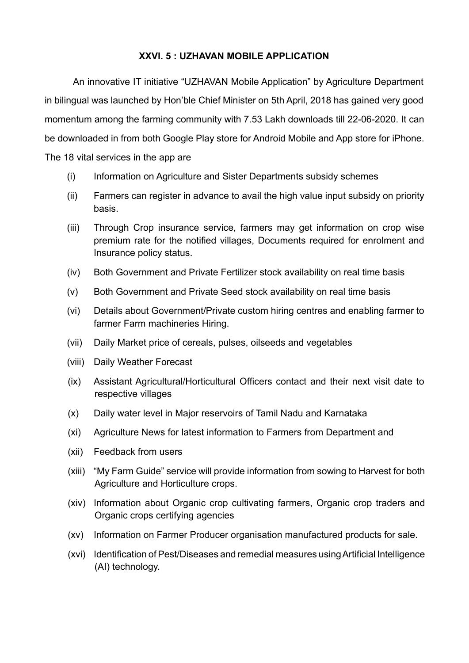## **XXVI. 5 : UZHAVAN MOBILE APPLICATION**

An innovative IT initiative "UZHAVAN Mobile Application" by Agriculture Department in bilingual was launched by Hon'ble Chief Minister on 5th April, 2018 has gained very good momentum among the farming community with 7.53 Lakh downloads till 22-06-2020. It can be downloaded in from both Google Play store for Android Mobile and App store for iPhone. The 18 vital services in the app are

- (i) Information on Agriculture and Sister Departments subsidy schemes
- (ii) Farmers can register in advance to avail the high value input subsidy on priority basis.
- (iii) Through Crop insurance service, farmers may get information on crop wise premium rate for the notified villages, Documents required for enrolment and Insurance policy status.
- (iv) Both Government and Private Fertilizer stock availability on real time basis
- (v) Both Government and Private Seed stock availability on real time basis
- (vi) Details about Government/Private custom hiring centres and enabling farmer to farmer Farm machineries Hiring.
- (vii) Daily Market price of cereals, pulses, oilseeds and vegetables
- (viii) Daily Weather Forecast
- (ix) Assistant Agricultural/Horticultural Officers contact and their next visit date to respective villages
- (x) Daily water level in Major reservoirs of Tamil Nadu and Karnataka
- (xi) Agriculture News for latest information to Farmers from Department and
- (xii) Feedback from users
- (xiii) "My Farm Guide" service will provide information from sowing to Harvest for both Agriculture and Horticulture crops.
- (xiv) Information about Organic crop cultivating farmers, Organic crop traders and Organic crops certifying agencies
- (xv) Information on Farmer Producer organisation manufactured products for sale.
- (xvi) Identification of Pest/Diseases and remedial measures using Artificial Intelligence (AI) technology.